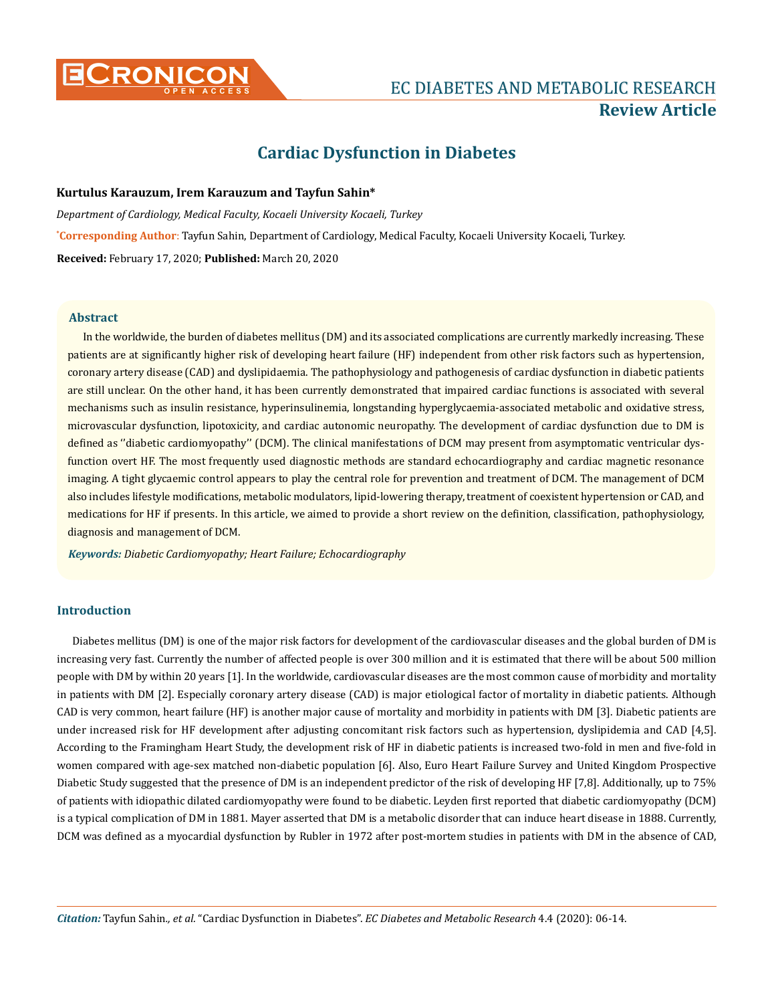

# **CRONICON EC DIABETES AND METABOLIC RESEARCH Review Article**

# **Cardiac Dysfunction in Diabetes**

# **Kurtulus Karauzum, Irem Karauzum and Tayfun Sahin\***

**\* Corresponding Author**: Tayfun Sahin, Department of Cardiology, Medical Faculty, Kocaeli University Kocaeli, Turkey. **Received:** February 17, 2020; **Published:** March 20, 2020 *Department of Cardiology, Medical Faculty, Kocaeli University Kocaeli, Turkey*

# **Abstract**

In the worldwide, the burden of diabetes mellitus (DM) and its associated complications are currently markedly increasing. These patients are at significantly higher risk of developing heart failure (HF) independent from other risk factors such as hypertension, coronary artery disease (CAD) and dyslipidaemia. The pathophysiology and pathogenesis of cardiac dysfunction in diabetic patients are still unclear. On the other hand, it has been currently demonstrated that impaired cardiac functions is associated with several mechanisms such as insulin resistance, hyperinsulinemia, longstanding hyperglycaemia-associated metabolic and oxidative stress, microvascular dysfunction, lipotoxicity, and cardiac autonomic neuropathy. The development of cardiac dysfunction due to DM is defined as ''diabetic cardiomyopathy'' (DCM). The clinical manifestations of DCM may present from asymptomatic ventricular dysfunction overt HF. The most frequently used diagnostic methods are standard echocardiography and cardiac magnetic resonance imaging. A tight glycaemic control appears to play the central role for prevention and treatment of DCM. The management of DCM also includes lifestyle modifications, metabolic modulators, lipid-lowering therapy, treatment of coexistent hypertension or CAD, and medications for HF if presents. In this article, we aimed to provide a short review on the definition, classification, pathophysiology, diagnosis and management of DCM.

*Keywords: Diabetic Cardiomyopathy; Heart Failure; Echocardiography*

# **Introduction**

Diabetes mellitus (DM) is one of the major risk factors for development of the cardiovascular diseases and the global burden of DM is increasing very fast. Currently the number of affected people is over 300 million and it is estimated that there will be about 500 million people with DM by within 20 years [1]. In the worldwide, cardiovascular diseases are the most common cause of morbidity and mortality in patients with DM [2]. Especially coronary artery disease (CAD) is major etiological factor of mortality in diabetic patients. Although CAD is very common, heart failure (HF) is another major cause of mortality and morbidity in patients with DM [3]. Diabetic patients are under increased risk for HF development after adjusting concomitant risk factors such as hypertension, dyslipidemia and CAD [4,5]. According to the Framingham Heart Study, the development risk of HF in diabetic patients is increased two-fold in men and five-fold in women compared with age-sex matched non-diabetic population [6]. Also, Euro Heart Failure Survey and United Kingdom Prospective Diabetic Study suggested that the presence of DM is an independent predictor of the risk of developing HF [7,8]. Additionally, up to 75% of patients with idiopathic dilated cardiomyopathy were found to be diabetic. Leyden first reported that diabetic cardiomyopathy (DCM) is a typical complication of DM in 1881. Mayer asserted that DM is a metabolic disorder that can induce heart disease in 1888. Currently, DCM was defined as a myocardial dysfunction by Rubler in 1972 after post-mortem studies in patients with DM in the absence of CAD,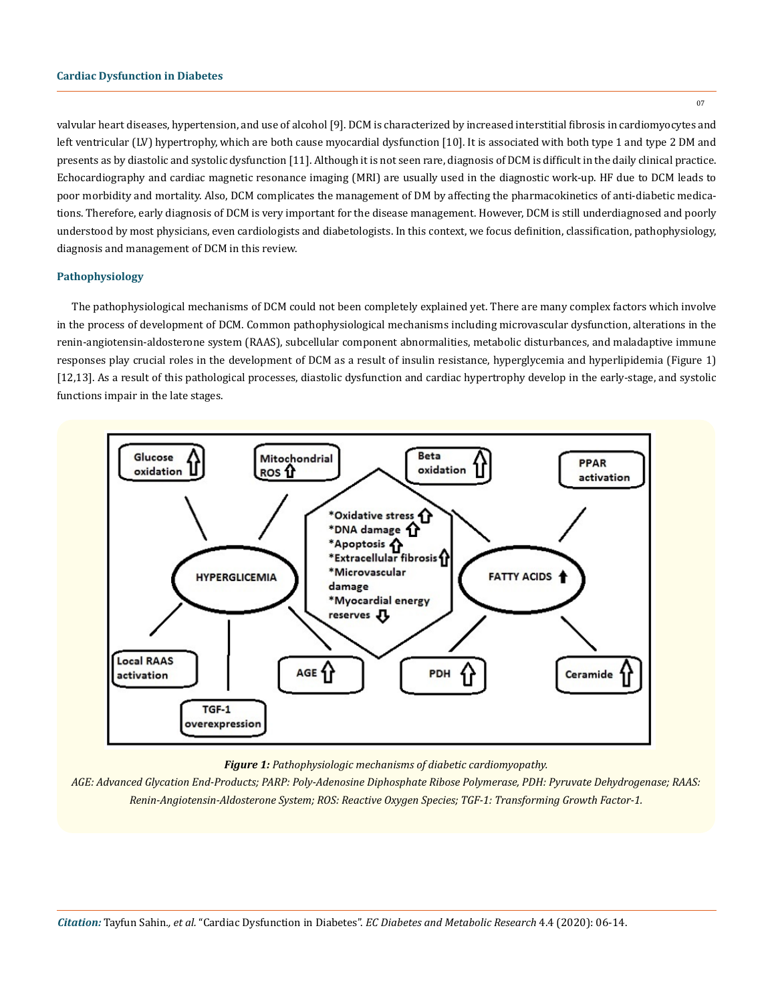valvular heart diseases, hypertension, and use of alcohol [9]. DCM is characterized by increased interstitial fibrosis in cardiomyocytes and left ventricular (LV) hypertrophy, which are both cause myocardial dysfunction [10]. It is associated with both type 1 and type 2 DM and presents as by diastolic and systolic dysfunction [11]. Although it is not seen rare, diagnosis of DCM is difficult in the daily clinical practice. Echocardiography and cardiac magnetic resonance imaging (MRI) are usually used in the diagnostic work-up. HF due to DCM leads to poor morbidity and mortality. Also, DCM complicates the management of DM by affecting the pharmacokinetics of anti-diabetic medications. Therefore, early diagnosis of DCM is very important for the disease management. However, DCM is still underdiagnosed and poorly understood by most physicians, even cardiologists and diabetologists. In this context, we focus definition, classification, pathophysiology, diagnosis and management of DCM in this review.

## **Pathophysiology**

The pathophysiological mechanisms of DCM could not been completely explained yet. There are many complex factors which involve in the process of development of DCM. Common pathophysiological mechanisms including microvascular dysfunction, alterations in the renin-angiotensin-aldosterone system (RAAS), subcellular component abnormalities, metabolic disturbances, and maladaptive immune responses play crucial roles in the development of DCM as a result of insulin resistance, hyperglycemia and hyperlipidemia (Figure 1) [12,13]. As a result of this pathological processes, diastolic dysfunction and cardiac hypertrophy develop in the early-stage, and systolic functions impair in the late stages.



*Figure 1: Pathophysiologic mechanisms of diabetic cardiomyopathy.*

*AGE: Advanced Glycation End-Products; PARP: Poly-Adenosine Diphosphate Ribose Polymerase, PDH: Pyruvate Dehydrogenase; RAAS: Renin-Angiotensin-Aldosterone System; ROS: Reactive Oxygen Species; TGF-1: Transforming Growth Factor-1.*

07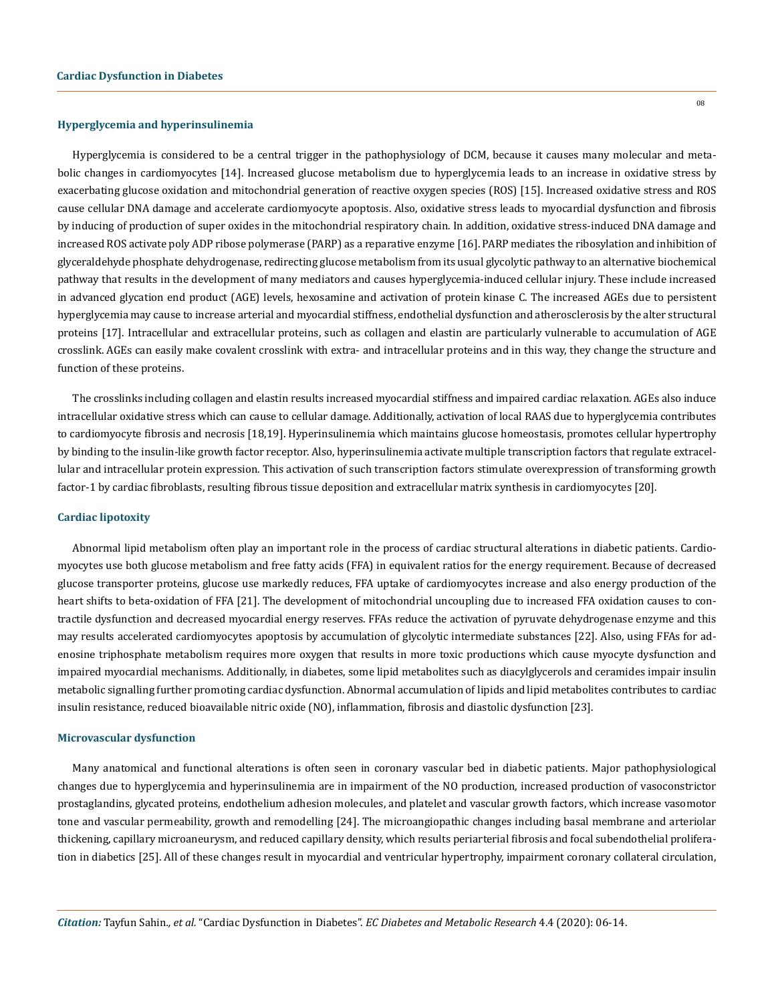#### **Hyperglycemia and hyperinsulinemia**

Hyperglycemia is considered to be a central trigger in the pathophysiology of DCM, because it causes many molecular and metabolic changes in cardiomyocytes [14]. Increased glucose metabolism due to hyperglycemia leads to an increase in oxidative stress by exacerbating glucose oxidation and mitochondrial generation of reactive oxygen species (ROS) [15]. Increased oxidative stress and ROS cause cellular DNA damage and accelerate cardiomyocyte apoptosis. Also, oxidative stress leads to myocardial dysfunction and fibrosis by inducing of production of super oxides in the mitochondrial respiratory chain. In addition, oxidative stress-induced DNA damage and increased ROS activate poly ADP ribose polymerase (PARP) as a reparative enzyme [16]. PARP mediates the ribosylation and inhibition of glyceraldehyde phosphate dehydrogenase, redirecting glucose metabolism from its usual glycolytic pathway to an alternative biochemical pathway that results in the development of many mediators and causes hyperglycemia-induced cellular injury. These include increased in advanced glycation end product (AGE) levels, hexosamine and activation of protein kinase C. The increased AGEs due to persistent hyperglycemia may cause to increase arterial and myocardial stiffness, endothelial dysfunction and atherosclerosis by the alter structural proteins [17]. Intracellular and extracellular proteins, such as collagen and elastin are particularly vulnerable to accumulation of AGE crosslink. AGEs can easily make covalent crosslink with extra- and intracellular proteins and in this way, they change the structure and function of these proteins.

The crosslinks including collagen and elastin results increased myocardial stiffness and impaired cardiac relaxation. AGEs also induce intracellular oxidative stress which can cause to cellular damage. Additionally, activation of local RAAS due to hyperglycemia contributes to cardiomyocyte fibrosis and necrosis [18,19]. Hyperinsulinemia which maintains glucose homeostasis, promotes cellular hypertrophy by binding to the insulin-like growth factor receptor. Also, hyperinsulinemia activate multiple transcription factors that regulate extracellular and intracellular protein expression. This activation of such transcription factors stimulate overexpression of transforming growth factor-1 by cardiac fibroblasts, resulting fibrous tissue deposition and extracellular matrix synthesis in cardiomyocytes [20].

#### **Cardiac lipotoxity**

Abnormal lipid metabolism often play an important role in the process of cardiac structural alterations in diabetic patients. Cardiomyocytes use both glucose metabolism and free fatty acids (FFA) in equivalent ratios for the energy requirement. Because of decreased glucose transporter proteins, glucose use markedly reduces, FFA uptake of cardiomyocytes increase and also energy production of the heart shifts to beta-oxidation of FFA [21]. The development of mitochondrial uncoupling due to increased FFA oxidation causes to contractile dysfunction and decreased myocardial energy reserves. FFAs reduce the activation of pyruvate dehydrogenase enzyme and this may results accelerated cardiomyocytes apoptosis by accumulation of glycolytic intermediate substances [22]. Also, using FFAs for adenosine triphosphate metabolism requires more oxygen that results in more toxic productions which cause myocyte dysfunction and impaired myocardial mechanisms. Additionally, in diabetes, some lipid metabolites such as diacylglycerols and ceramides impair insulin metabolic signalling further promoting cardiac dysfunction. Abnormal accumulation of lipids and lipid metabolites contributes to cardiac insulin resistance, reduced bioavailable nitric oxide (NO), inflammation, fibrosis and diastolic dysfunction [23].

#### **Microvascular dysfunction**

Many anatomical and functional alterations is often seen in coronary vascular bed in diabetic patients. Major pathophysiological changes due to hyperglycemia and hyperinsulinemia are in impairment of the NO production, increased production of vasoconstrictor prostaglandins, glycated proteins, endothelium adhesion molecules, and platelet and vascular growth factors, which increase vasomotor tone and vascular permeability, growth and remodelling [24]. The microangiopathic changes including basal membrane and arteriolar thickening, capillary microaneurysm, and reduced capillary density, which results periarterial fibrosis and focal subendothelial proliferation in diabetics [25]. All of these changes result in myocardial and ventricular hypertrophy, impairment coronary collateral circulation,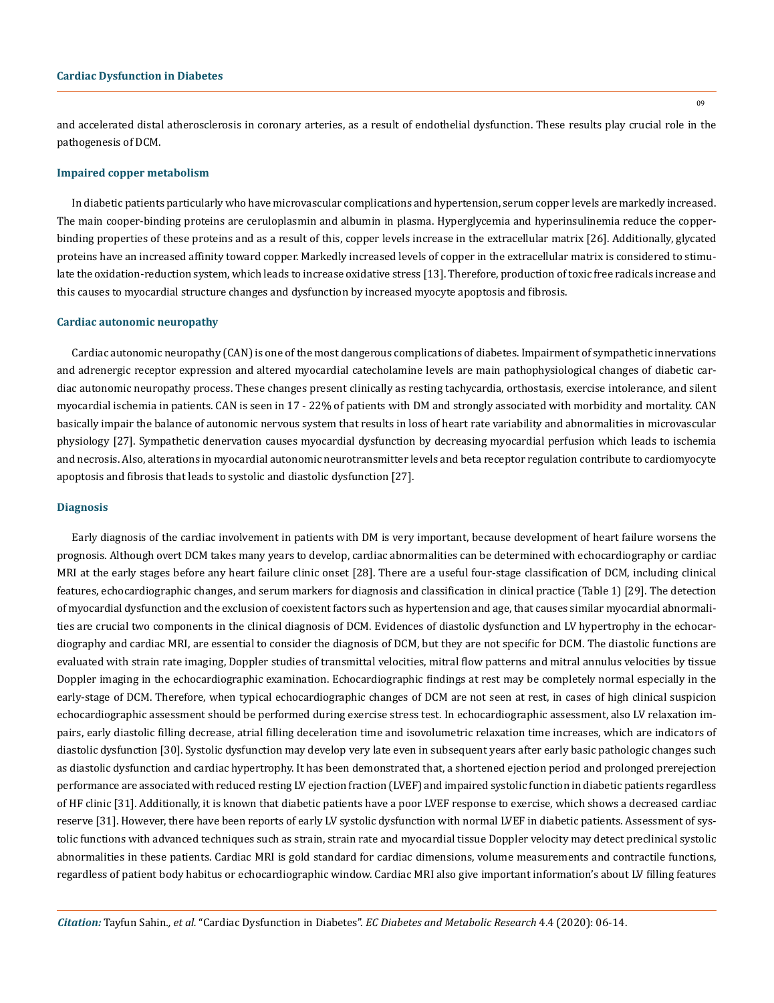#### **Cardiac Dysfunction in Diabetes**

and accelerated distal atherosclerosis in coronary arteries, as a result of endothelial dysfunction. These results play crucial role in the pathogenesis of DCM.

#### **Impaired copper metabolism**

In diabetic patients particularly who have microvascular complications and hypertension, serum copper levels are markedly increased. The main cooper-binding proteins are ceruloplasmin and albumin in plasma. Hyperglycemia and hyperinsulinemia reduce the copperbinding properties of these proteins and as a result of this, copper levels increase in the extracellular matrix [26]. Additionally, glycated proteins have an increased affinity toward copper. Markedly increased levels of copper in the extracellular matrix is considered to stimulate the oxidation-reduction system, which leads to increase oxidative stress [13]. Therefore, production of toxic free radicals increase and this causes to myocardial structure changes and dysfunction by increased myocyte apoptosis and fibrosis.

#### **Cardiac autonomic neuropathy**

Cardiac autonomic neuropathy (CAN) is one of the most dangerous complications of diabetes. Impairment of sympathetic innervations and adrenergic receptor expression and altered myocardial catecholamine levels are main pathophysiological changes of diabetic cardiac autonomic neuropathy process. These changes present clinically as resting tachycardia, orthostasis, exercise intolerance, and silent myocardial ischemia in patients. CAN is seen in 17 - 22% of patients with DM and strongly associated with morbidity and mortality. CAN basically impair the balance of autonomic nervous system that results in loss of heart rate variability and abnormalities in microvascular physiology [27]. Sympathetic denervation causes myocardial dysfunction by decreasing myocardial perfusion which leads to ischemia and necrosis. Also, alterations in myocardial autonomic neurotransmitter levels and beta receptor regulation contribute to cardiomyocyte apoptosis and fibrosis that leads to systolic and diastolic dysfunction [27].

#### **Diagnosis**

Early diagnosis of the cardiac involvement in patients with DM is very important, because development of heart failure worsens the prognosis. Although overt DCM takes many years to develop, cardiac abnormalities can be determined with echocardiography or cardiac MRI at the early stages before any heart failure clinic onset [28]. There are a useful four-stage classification of DCM, including clinical features, echocardiographic changes, and serum markers for diagnosis and classification in clinical practice (Table 1) [29]. The detection of myocardial dysfunction and the exclusion of coexistent factors such as hypertension and age, that causes similar myocardial abnormalities are crucial two components in the clinical diagnosis of DCM. Evidences of diastolic dysfunction and LV hypertrophy in the echocardiography and cardiac MRI, are essential to consider the diagnosis of DCM, but they are not specific for DCM. The diastolic functions are evaluated with strain rate imaging, Doppler studies of transmittal velocities, mitral flow patterns and mitral annulus velocities by tissue Doppler imaging in the echocardiographic examination. Echocardiographic findings at rest may be completely normal especially in the early-stage of DCM. Therefore, when typical echocardiographic changes of DCM are not seen at rest, in cases of high clinical suspicion echocardiographic assessment should be performed during exercise stress test. In echocardiographic assessment, also LV relaxation impairs, early diastolic filling decrease, atrial filling deceleration time and isovolumetric relaxation time increases, which are indicators of diastolic dysfunction [30]. Systolic dysfunction may develop very late even in subsequent years after early basic pathologic changes such as diastolic dysfunction and cardiac hypertrophy. It has been demonstrated that, a shortened ejection period and prolonged prerejection performance are associated with reduced resting LV ejection fraction (LVEF) and impaired systolic function in diabetic patients regardless of HF clinic [31]. Additionally, it is known that diabetic patients have a poor LVEF response to exercise, which shows a decreased cardiac reserve [31]. However, there have been reports of early LV systolic dysfunction with normal LVEF in diabetic patients. Assessment of systolic functions with advanced techniques such as strain, strain rate and myocardial tissue Doppler velocity may detect preclinical systolic abnormalities in these patients. Cardiac MRI is gold standard for cardiac dimensions, volume measurements and contractile functions, regardless of patient body habitus or echocardiographic window. Cardiac MRI also give important information's about LV filling features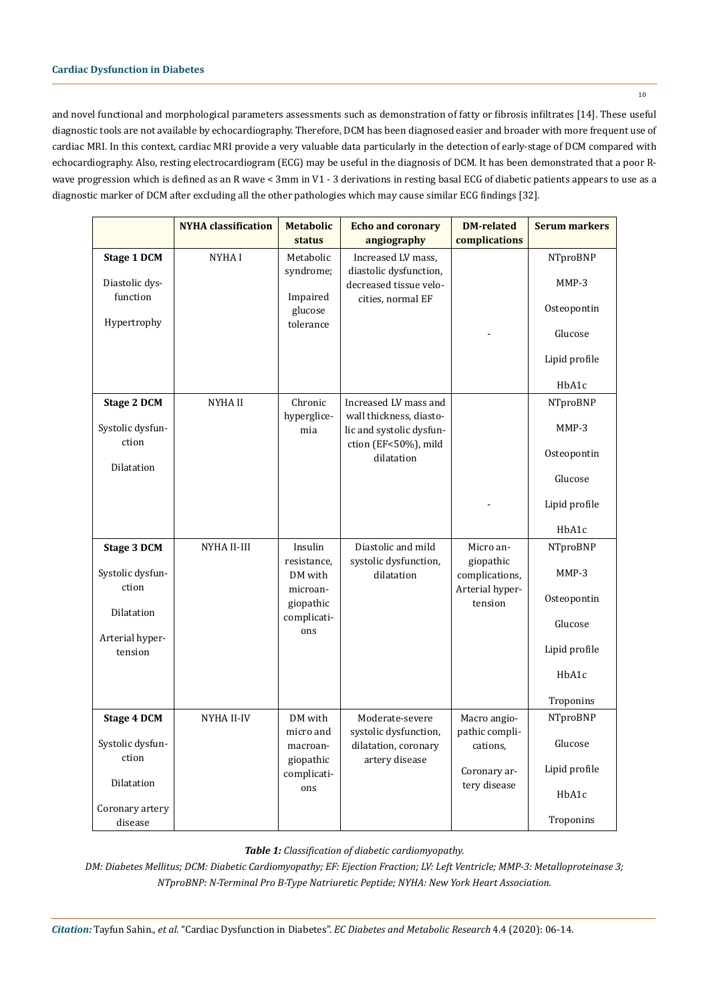# **Cardiac Dysfunction in Diabetes**

and novel functional and morphological parameters assessments such as demonstration of fatty or fibrosis infiltrates [14]. These useful diagnostic tools are not available by echocardiography. Therefore, DCM has been diagnosed easier and broader with more frequent use of cardiac MRI. In this context, cardiac MRI provide a very valuable data particularly in the detection of early-stage of DCM compared with echocardiography. Also, resting electrocardiogram (ECG) may be useful in the diagnosis of DCM. It has been demonstrated that a poor Rwave progression which is defined as an R wave < 3mm in V1 - 3 derivations in resting basal ECG of diabetic patients appears to use as a diagnostic marker of DCM after excluding all the other pathologies which may cause similar ECG findings [32].

|                            | <b>NYHA</b> classification | <b>Metabolic</b><br>status | <b>Echo and coronary</b><br>angiography                                     | <b>DM-related</b><br>complications | <b>Serum markers</b> |
|----------------------------|----------------------------|----------------------------|-----------------------------------------------------------------------------|------------------------------------|----------------------|
| <b>Stage 1 DCM</b>         | NYHA I                     | Metabolic                  | Increased LV mass,                                                          |                                    | NTproBNP             |
| Diastolic dys-<br>function |                            | syndrome;<br>Impaired      | diastolic dysfunction,<br>decreased tissue velo-<br>cities, normal EF       |                                    | MMP-3                |
|                            |                            | glucose                    |                                                                             |                                    | Osteopontin          |
| Hypertrophy                |                            | tolerance                  |                                                                             |                                    | Glucose              |
|                            |                            |                            |                                                                             |                                    | Lipid profile        |
|                            |                            |                            |                                                                             |                                    | HbA1c                |
| <b>Stage 2 DCM</b>         | <b>NYHAII</b>              | Chronic                    | Increased LV mass and                                                       |                                    | NTproBNP             |
| Systolic dysfun-<br>ction  |                            | hyperglice-<br>mia         | wall thickness, diasto-<br>lic and systolic dysfun-<br>ction (EF<50%), mild |                                    | MMP-3                |
|                            |                            |                            | dilatation                                                                  |                                    | Osteopontin          |
| Dilatation                 |                            |                            |                                                                             |                                    | Glucose              |
|                            |                            |                            |                                                                             |                                    | Lipid profile        |
|                            |                            |                            |                                                                             |                                    | HbA1c                |
| <b>Stage 3 DCM</b>         | NYHA II-III                | Insulin                    | Diastolic and mild                                                          | Micro an-                          | NTproBNP             |
| Systolic dysfun-<br>ction  |                            | resistance,<br>DM with     | systolic dysfunction,<br>dilatation                                         | giopathic<br>complications,        | MMP-3                |
| Dilatation                 |                            | microan-<br>giopathic      |                                                                             | Arterial hyper-<br>tension         | Osteopontin          |
|                            |                            | complicati-<br>ons         |                                                                             |                                    | Glucose              |
| Arterial hyper-<br>tension |                            |                            |                                                                             |                                    | Lipid profile        |
|                            |                            |                            |                                                                             |                                    | HbA1c                |
|                            |                            |                            |                                                                             |                                    | Troponins            |
| <b>Stage 4 DCM</b>         | NYHA II-IV                 | DM with                    | Moderate-severe                                                             | Macro angio-                       | NTproBNP             |
| Systolic dysfun-<br>ction  |                            | micro and<br>macroan-      | systolic dysfunction,<br>dilatation, coronary                               | pathic compli-<br>cations,         | Glucose              |
|                            |                            | giopathic<br>complicati-   | artery disease                                                              | Coronary ar-                       | Lipid profile        |
| Dilatation                 |                            | ons                        |                                                                             | tery disease                       | HbA1c                |
| Coronary artery<br>disease |                            |                            |                                                                             |                                    | Troponins            |

*Table 1: Classification of diabetic cardiomyopathy.*

*DM: Diabetes Mellitus; DCM: Diabetic Cardiomyopathy; EF: Ejection Fraction; LV: Left Ventricle; MMP-3: Metalloproteinase 3; NTproBNP: N-Terminal Pro B-Type Natriuretic Peptide; NYHA: New York Heart Association.*

*Citation:* Tayfun Sahin*., et al.* "Cardiac Dysfunction in Diabetes". *EC Diabetes and Metabolic Research* 4.4 (2020): 06-14.

10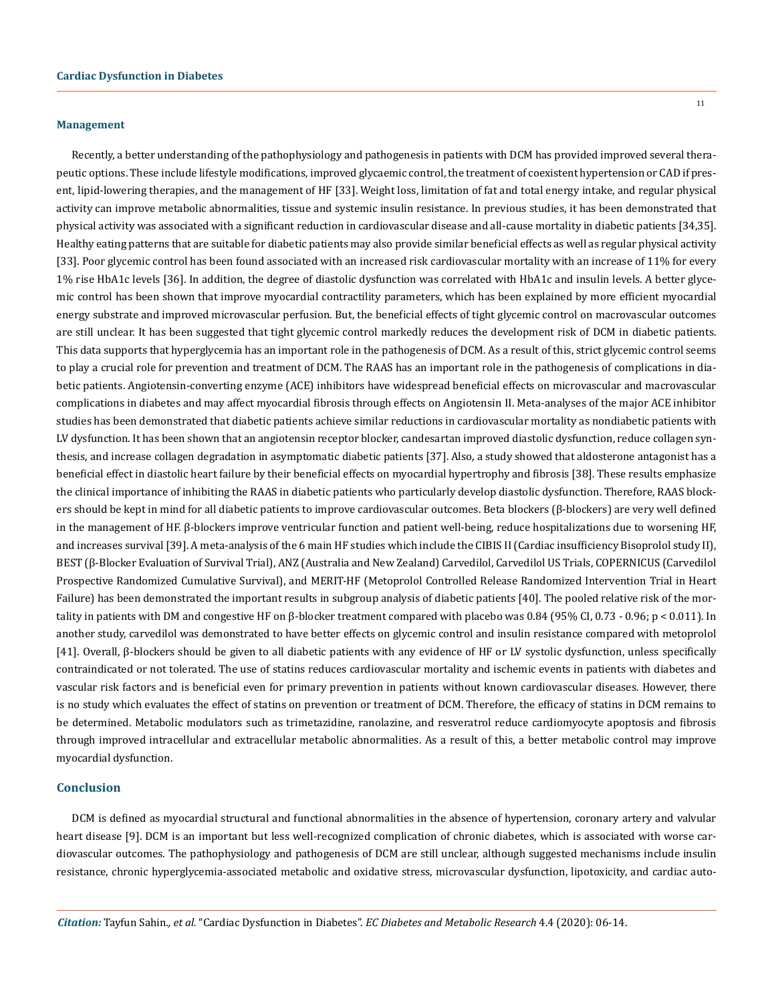## **Management**

Recently, a better understanding of the pathophysiology and pathogenesis in patients with DCM has provided improved several therapeutic options. These include lifestyle modifications, improved glycaemic control, the treatment of coexistent hypertension or CAD if present, lipid-lowering therapies, and the management of HF [33]. Weight loss, limitation of fat and total energy intake, and regular physical activity can improve metabolic abnormalities, tissue and systemic insulin resistance. In previous studies, it has been demonstrated that physical activity was associated with a significant reduction in cardiovascular disease and all-cause mortality in diabetic patients [34,35]. Healthy eating patterns that are suitable for diabetic patients may also provide similar beneficial effects as well as regular physical activity [33]. Poor glycemic control has been found associated with an increased risk cardiovascular mortality with an increase of 11% for every 1% rise HbA1c levels [36]. In addition, the degree of diastolic dysfunction was correlated with HbA1c and insulin levels. A better glycemic control has been shown that improve myocardial contractility parameters, which has been explained by more efficient myocardial energy substrate and improved microvascular perfusion. But, the beneficial effects of tight glycemic control on macrovascular outcomes are still unclear. It has been suggested that tight glycemic control markedly reduces the development risk of DCM in diabetic patients. This data supports that hyperglycemia has an important role in the pathogenesis of DCM. As a result of this, strict glycemic control seems to play a crucial role for prevention and treatment of DCM. The RAAS has an important role in the pathogenesis of complications in diabetic patients. Angiotensin-converting enzyme (ACE) inhibitors have widespread beneficial effects on microvascular and macrovascular complications in diabetes and may affect myocardial fibrosis through effects on Angiotensin II. Meta-analyses of the major ACE inhibitor studies has been demonstrated that diabetic patients achieve similar reductions in cardiovascular mortality as nondiabetic patients with LV dysfunction. It has been shown that an angiotensin receptor blocker, candesartan improved diastolic dysfunction, reduce collagen synthesis, and increase collagen degradation in asymptomatic diabetic patients [37]. Also, a study showed that aldosterone antagonist has a beneficial effect in diastolic heart failure by their beneficial effects on myocardial hypertrophy and fibrosis [38]. These results emphasize the clinical importance of inhibiting the RAAS in diabetic patients who particularly develop diastolic dysfunction. Therefore, RAAS blockers should be kept in mind for all diabetic patients to improve cardiovascular outcomes. Beta blockers (β-blockers) are very well defined in the management of HF. β-blockers improve ventricular function and patient well-being, reduce hospitalizations due to worsening HF, and increases survival [39]. A meta-analysis of the 6 main HF studies which include the CIBIS II (Cardiac insufficiency Bisoprolol study II), BEST (β-Blocker Evaluation of Survival Trial), ANZ (Australia and New Zealand) Carvedilol, Carvedilol US Trials, COPERNICUS (Carvedilol Prospective Randomized Cumulative Survival), and MERIT-HF (Metoprolol Controlled Release Randomized Intervention Trial in Heart Failure) has been demonstrated the important results in subgroup analysis of diabetic patients [40]. The pooled relative risk of the mortality in patients with DM and congestive HF on β-blocker treatment compared with placebo was 0.84 (95% CI, 0.73 - 0.96; p < 0.011). In another study, carvedilol was demonstrated to have better effects on glycemic control and insulin resistance compared with metoprolol [41]. Overall, β-blockers should be given to all diabetic patients with any evidence of HF or LV systolic dysfunction, unless specifically contraindicated or not tolerated. The use of statins reduces cardiovascular mortality and ischemic events in patients with diabetes and vascular risk factors and is beneficial even for primary prevention in patients without known cardiovascular diseases. However, there is no study which evaluates the effect of statins on prevention or treatment of DCM. Therefore, the efficacy of statins in DCM remains to be determined. Metabolic modulators such as trimetazidine, ranolazine, and resveratrol reduce cardiomyocyte apoptosis and fibrosis through improved intracellular and extracellular metabolic abnormalities. As a result of this, a better metabolic control may improve myocardial dysfunction.

#### **Conclusion**

DCM is defined as myocardial structural and functional abnormalities in the absence of hypertension, coronary artery and valvular heart disease [9]. DCM is an important but less well-recognized complication of chronic diabetes, which is associated with worse cardiovascular outcomes. The pathophysiology and pathogenesis of DCM are still unclear, although suggested mechanisms include insulin resistance, chronic hyperglycemia-associated metabolic and oxidative stress, microvascular dysfunction, lipotoxicity, and cardiac auto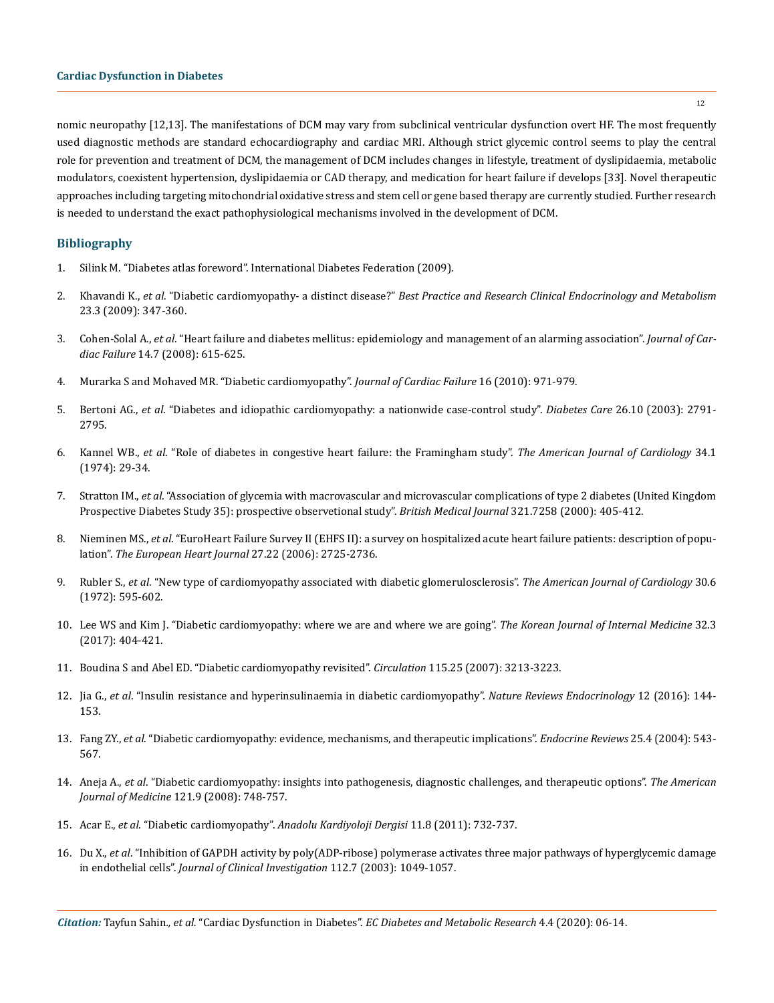nomic neuropathy [12,13]. The manifestations of DCM may vary from subclinical ventricular dysfunction overt HF. The most frequently used diagnostic methods are standard echocardiography and cardiac MRI. Although strict glycemic control seems to play the central role for prevention and treatment of DCM, the management of DCM includes changes in lifestyle, treatment of dyslipidaemia, metabolic modulators, coexistent hypertension, dyslipidaemia or CAD therapy, and medication for heart failure if develops [33]. Novel therapeutic approaches including targeting mitochondrial oxidative stress and stem cell or gene based therapy are currently studied. Further research is needed to understand the exact pathophysiological mechanisms involved in the development of DCM.

# **Bibliography**

- 1. Silink M. "Diabetes atlas foreword". International Diabetes Federation (2009).
- 2. Khavandi K., *et al*. "Diabetic cardiomyopathy- a distinct disease?" *[Best Practice and Research Clinical Endocrinology and Metabolism](https://www.sciencedirect.com/science/article/abs/pii/S1521690X08001462)* [23.3 \(2009\): 347-360.](https://www.sciencedirect.com/science/article/abs/pii/S1521690X08001462)
- 3. Cohen-Solal A., *et al*[. "Heart failure and diabetes mellitus: epidemiology and management of an alarming association".](https://pubmed.ncbi.nlm.nih.gov/18722328/) *Journal of Cardiac Failure* [14.7 \(2008\): 615-625.](https://pubmed.ncbi.nlm.nih.gov/18722328/)
- 4. Murarka S and Mohaved MR. "Diabetic cardiomyopathy". *Journal of Cardiac Failure* 16 (2010): 971-979.
- 5. Bertoni AG., *et al*[. "Diabetes and idiopathic cardiomyopathy: a nationwide case-control study".](https://pubmed.ncbi.nlm.nih.gov/14514581/) *Diabetes Care* 26.10 (2003): 2791- [2795.](https://pubmed.ncbi.nlm.nih.gov/14514581/)
- 6. Kannel WB., *et al*[. "Role of diabetes in congestive heart failure: the Framingham study".](https://pubmed.ncbi.nlm.nih.gov/4835750/) *The American Journal of Cardiology* 34.1 [\(1974\): 29-34.](https://pubmed.ncbi.nlm.nih.gov/4835750/)
- 7. Stratton IM., *et al*[. "Association of glycemia with macrovascular and microvascular complications of type 2 diabetes \(United Kingdom](https://pubmed.ncbi.nlm.nih.gov/10938048/)  [Prospective Diabetes Study 35\): prospective observetional study".](https://pubmed.ncbi.nlm.nih.gov/10938048/) *British Medical Journal* 321.7258 (2000): 405-412.
- 8. Nieminen MS., *et al*[. "EuroHeart Failure Survey II \(EHFS II\): a survey on hospitalized acute heart failure patients: description of popu](https://pubmed.ncbi.nlm.nih.gov/17000631/)lation". *[The European Heart Journal](https://pubmed.ncbi.nlm.nih.gov/17000631/)* 27.22 (2006): 2725-2736.
- 9. Rubler S., *et al*[. "New type of cardiomyopathy associated with diabetic glomerulosclerosis".](https://pubmed.ncbi.nlm.nih.gov/4263660/) *The American Journal of Cardiology* 30.6 [\(1972\): 595-602.](https://pubmed.ncbi.nlm.nih.gov/4263660/)
- 10. [Lee WS and Kim J. "Diabetic cardiomyopathy: where we are and where we are going".](https://www.ncbi.nlm.nih.gov/pmc/articles/PMC5432803/) *The Korean Journal of Internal Medicine* 32.3 [\(2017\): 404-421.](https://www.ncbi.nlm.nih.gov/pmc/articles/PMC5432803/)
- 11. [Boudina S and Abel ED. "Diabetic cardiomyopathy revisited".](https://pubmed.ncbi.nlm.nih.gov/17592090/) *Circulation* 115.25 (2007): 3213-3223.
- 12. Jia G., *et al*[. "Insulin resistance and hyperinsulinaemia in diabetic cardiomyopathy".](https://www.ncbi.nlm.nih.gov/pmc/articles/PMC4753054/) *Nature Reviews Endocrinology* 12 (2016): 144- [153.](https://www.ncbi.nlm.nih.gov/pmc/articles/PMC4753054/)
- 13. Fang ZY., *et al*[. "Diabetic cardiomyopathy: evidence, mechanisms, and therapeutic implications".](https://pubmed.ncbi.nlm.nih.gov/15294881/) *Endocrine Reviews* 25.4 (2004): 543- [567.](https://pubmed.ncbi.nlm.nih.gov/15294881/)
- 14. Aneja A., *et al*[. "Diabetic cardiomyopathy: insights into pathogenesis, diagnostic challenges, and therapeutic options".](https://pubmed.ncbi.nlm.nih.gov/18724960/) *The American Journal of Medicine* [121.9 \(2008\): 748-757.](https://pubmed.ncbi.nlm.nih.gov/18724960/)
- 15. Acar E., *et al*. "Diabetic cardiomyopathy". *[Anadolu Kardiyoloji Dergisi](https://pubmed.ncbi.nlm.nih.gov/22137942/)* 11.8 (2011): 732-737.
- 16. Du X., *et al*[. "Inhibition of GAPDH activity by poly\(ADP-ribose\) polymerase activates three major pathways of hyperglycemic damage](https://pubmed.ncbi.nlm.nih.gov/14523042/)  in endothelial cells". *[Journal of Clinical Investigation](https://pubmed.ncbi.nlm.nih.gov/14523042/)* 112.7 (2003): 1049-1057.

12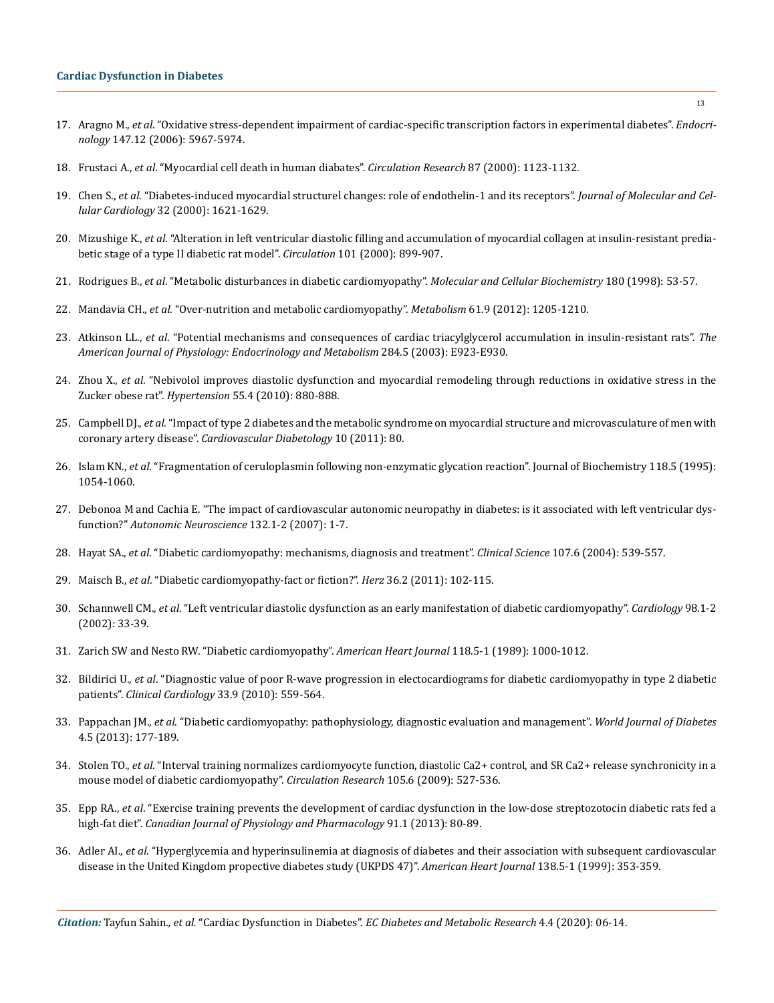- 17. Aragno M., *et al*[. "Oxidative stress-dependent impairment of cardiac-specific transcription factors in experimental diabetes".](https://pubmed.ncbi.nlm.nih.gov/16935841/) *Endocrinology* [147.12 \(2006\): 5967-5974.](https://pubmed.ncbi.nlm.nih.gov/16935841/)
- 18. Frustaci A., *et al*[. "Myocardial cell death in human diabates".](https://pubmed.ncbi.nlm.nih.gov/11110769/) *Circulation Research* 87 (2000): 1123-1132.
- 19. Chen S., *et al*[. "Diabetes-induced myocardial structurel changes: role of endothelin-1 and its receptors".](https://pubmed.ncbi.nlm.nih.gov/10966825/) *Journal of Molecular and Cellular Cardiology* [32 \(2000\): 1621-1629.](https://pubmed.ncbi.nlm.nih.gov/10966825/)
- 20. Mizushige K., *et al*[. "Alteration in left ventricular diastolic filling and accumulation of myocardial collagen at insulin-resistant predia](https://pubmed.ncbi.nlm.nih.gov/10694530/)[betic stage of a type II diabetic rat model".](https://pubmed.ncbi.nlm.nih.gov/10694530/) *Circulation* 101 (2000): 899-907.
- 21. Rodrigues B., *et al*[. "Metabolic disturbances in diabetic cardiomyopathy".](https://pubmed.ncbi.nlm.nih.gov/9546630/) *Molecular and Cellular Biochemistry* 180 (1998): 53-57.
- 22. Mandavia CH., *et al*[. "Over-nutrition and metabolic cardiomyopathy".](https://www.ncbi.nlm.nih.gov/pmc/articles/PMC3393834/) *Metabolism* 61.9 (2012): 1205-1210.
- 23. Atkinson LL., *et al*[. "Potential mechanisms and consequences of cardiac triacylglycerol accumulation in insulin-resistant rats".](https://pubmed.ncbi.nlm.nih.gov/12464581/) *The [American Journal of Physiology: Endocrinology and Metabolism](https://pubmed.ncbi.nlm.nih.gov/12464581/)* 284.5 (2003): E923-E930.
- 24. Zhou X., *et al*[. "Nebivolol improves diastolic dysfunction and myocardial remodeling through reductions in oxidative stress in the](https://www.ncbi.nlm.nih.gov/pmc/articles/PMC2841702/) Zucker obese rat". *Hypertension* [55.4 \(2010\): 880-888.](https://www.ncbi.nlm.nih.gov/pmc/articles/PMC2841702/)
- 25. Campbell DJ., *et al*[. "Impact of type 2 diabetes and the metabolic syndrome on myocardial structure and microvasculature of men with](https://cardiab.biomedcentral.com/articles/10.1186/1475-2840-10-80) coronary artery disease". *[Cardiovascular Diabetology](https://cardiab.biomedcentral.com/articles/10.1186/1475-2840-10-80)* 10 (2011): 80.
- 26. Islam KN., *et al*[. "Fragmentation of ceruloplasmin following non-enzymatic glycation reaction". Journal of Biochemistry 118.5 \(1995\):](https://pubmed.ncbi.nlm.nih.gov/8749326/) [1054-1060.](https://pubmed.ncbi.nlm.nih.gov/8749326/)
- 27. [Debonoa M and Cachia E. "The impact of cardiovascular autonomic neuropathy in diabetes: is it associated with left ventricular dys](https://pubmed.ncbi.nlm.nih.gov/17197251/)function?" *[Autonomic Neuroscience](https://pubmed.ncbi.nlm.nih.gov/17197251/)* 132.1-2 (2007): 1-7.
- 28. Hayat SA., *et al*[. "Diabetic cardiomyopathy: mechanisms, diagnosis and treatment".](https://pubmed.ncbi.nlm.nih.gov/15341511/) *Clinical Science* 107.6 (2004): 539-557.
- 29. Maisch B., *et al*[. "Diabetic cardiomyopathy-fact or fiction?".](https://pubmed.ncbi.nlm.nih.gov/21424347/) *Herz* 36.2 (2011): 102-115.
- 30. Schannwell CM., *et al*[. "Left ventricular diastolic dysfunction as an early manifestation of diabetic cardiomyopathy".](https://pubmed.ncbi.nlm.nih.gov/12373045/) *Cardiology* 98.1-2 [\(2002\): 33-39.](https://pubmed.ncbi.nlm.nih.gov/12373045/)
- 31. [Zarich SW and Nesto RW. "Diabetic cardiomyopathy".](https://pubmed.ncbi.nlm.nih.gov/2683698/) *American Heart Journal* 118.5-1 (1989): 1000-1012.
- 32. Bildirici U., *et al*[. "Diagnostic value of poor R-wave progression in electocardiograms for diabetic cardiomyopathy in type 2 diabetic](https://pubmed.ncbi.nlm.nih.gov/20842740/)  patients". *Clinical Cardiology* [33.9 \(2010\): 559-564.](https://pubmed.ncbi.nlm.nih.gov/20842740/)
- 33. Pappachan JM., *et al*[. "Diabetic cardiomyopathy: pathophysiology, diagnostic evaluation and management".](https://pubmed.ncbi.nlm.nih.gov/24147202/) *World Journal of Diabetes* [4.5 \(2013\): 177-189.](https://pubmed.ncbi.nlm.nih.gov/24147202/)
- 34. Stolen TO., *et al*[. "Interval training normalizes cardiomyocyte function, diastolic Ca2+ control, and SR Ca2+ release synchronicity in a](https://pubmed.ncbi.nlm.nih.gov/19679837/)  [mouse model of diabetic cardiomyopathy".](https://pubmed.ncbi.nlm.nih.gov/19679837/) *Circulation Research* 105.6 (2009): 527-536.
- 35. Epp RA., *et al*[. "Exercise training prevents the development of cardiac dysfunction in the low-dose streptozotocin diabetic rats fed a](https://pubmed.ncbi.nlm.nih.gov/23369057/)  high-fat diet". *[Canadian Journal of Physiology and Pharmacology](https://pubmed.ncbi.nlm.nih.gov/23369057/)* 91.1 (2013): 80-89.
- 36. Adler AI., *et al*[. "Hyperglycemia and hyperinsulinemia at diagnosis of diabetes and their association with subsequent cardiovascular](https://pubmed.ncbi.nlm.nih.gov/10539797/)  [disease in the United Kingdom propective diabetes study \(UKPDS 47\)".](https://pubmed.ncbi.nlm.nih.gov/10539797/) *American Heart Journal* 138.5-1 (1999): 353-359.